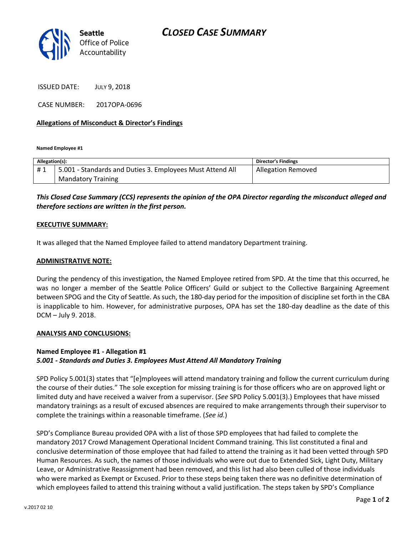

ISSUED DATE: JULY 9, 2018

CASE NUMBER: 2017OPA-0696

#### **Allegations of Misconduct & Director's Findings**

**Named Employee #1**

| Allegation(s): |                                                           | <b>Director's Findings</b> |
|----------------|-----------------------------------------------------------|----------------------------|
| #1             | 5.001 - Standards and Duties 3. Employees Must Attend All | <b>Allegation Removed</b>  |
|                | <b>Mandatory Training</b>                                 |                            |

## *This Closed Case Summary (CCS) represents the opinion of the OPA Director regarding the misconduct alleged and therefore sections are written in the first person.*

#### **EXECUTIVE SUMMARY:**

It was alleged that the Named Employee failed to attend mandatory Department training.

#### **ADMINISTRATIVE NOTE:**

During the pendency of this investigation, the Named Employee retired from SPD. At the time that this occurred, he was no longer a member of the Seattle Police Officers' Guild or subject to the Collective Bargaining Agreement between SPOG and the City of Seattle. As such, the 180-day period for the imposition of discipline set forth in the CBA is inapplicable to him. However, for administrative purposes, OPA has set the 180-day deadline as the date of this DCM – July 9. 2018.

#### **ANALYSIS AND CONCLUSIONS:**

### **Named Employee #1 - Allegation #1** *5.001 - Standards and Duties 3. Employees Must Attend All Mandatory Training*

SPD Policy 5.001(3) states that "[e]mployees will attend mandatory training and follow the current curriculum during the course of their duties." The sole exception for missing training is for those officers who are on approved light or limited duty and have received a waiver from a supervisor. (*See* SPD Policy 5.001(3).) Employees that have missed mandatory trainings as a result of excused absences are required to make arrangements through their supervisor to complete the trainings within a reasonable timeframe. (*See id.*)

SPD's Compliance Bureau provided OPA with a list of those SPD employees that had failed to complete the mandatory 2017 Crowd Management Operational Incident Command training. This list constituted a final and conclusive determination of those employee that had failed to attend the training as it had been vetted through SPD Human Resources. As such, the names of those individuals who were out due to Extended Sick, Light Duty, Military Leave, or Administrative Reassignment had been removed, and this list had also been culled of those individuals who were marked as Exempt or Excused. Prior to these steps being taken there was no definitive determination of which employees failed to attend this training without a valid justification. The steps taken by SPD's Compliance